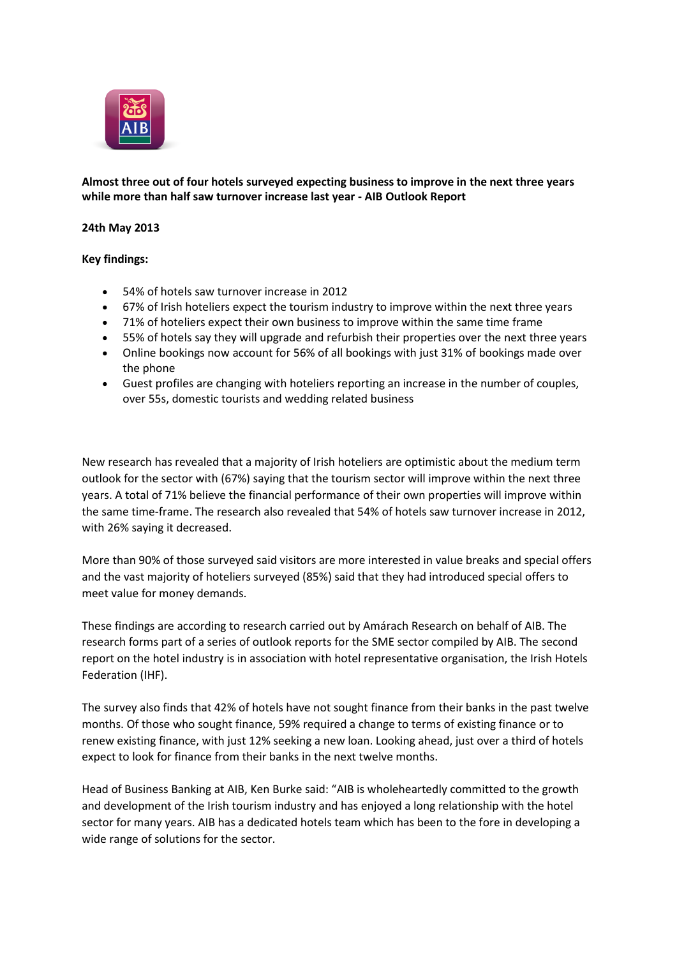

# **Almost three out of four hotels surveyed expecting business to improve in the next three years while more than half saw turnover increase last year - AIB Outlook Report**

# **24th May 2013**

### **Key findings:**

- 54% of hotels saw turnover increase in 2012
- 67% of Irish hoteliers expect the tourism industry to improve within the next three years
- 71% of hoteliers expect their own business to improve within the same time frame
- 55% of hotels say they will upgrade and refurbish their properties over the next three years
- Online bookings now account for 56% of all bookings with just 31% of bookings made over the phone
- Guest profiles are changing with hoteliers reporting an increase in the number of couples, over 55s, domestic tourists and wedding related business

New research has revealed that a majority of Irish hoteliers are optimistic about the medium term outlook for the sector with (67%) saying that the tourism sector will improve within the next three years. A total of 71% believe the financial performance of their own properties will improve within the same time-frame. The research also revealed that 54% of hotels saw turnover increase in 2012, with 26% saying it decreased.

More than 90% of those surveyed said visitors are more interested in value breaks and special offers and the vast majority of hoteliers surveyed (85%) said that they had introduced special offers to meet value for money demands.

These findings are according to research carried out by Amárach Research on behalf of AIB. The research forms part of a series of outlook reports for the SME sector compiled by AIB. The second report on the hotel industry is in association with hotel representative organisation, the Irish Hotels Federation (IHF).

The survey also finds that 42% of hotels have not sought finance from their banks in the past twelve months. Of those who sought finance, 59% required a change to terms of existing finance or to renew existing finance, with just 12% seeking a new loan. Looking ahead, just over a third of hotels expect to look for finance from their banks in the next twelve months.

Head of Business Banking at AIB, Ken Burke said: "AIB is wholeheartedly committed to the growth and development of the Irish tourism industry and has enjoyed a long relationship with the hotel sector for many years. AIB has a dedicated hotels team which has been to the fore in developing a wide range of solutions for the sector.